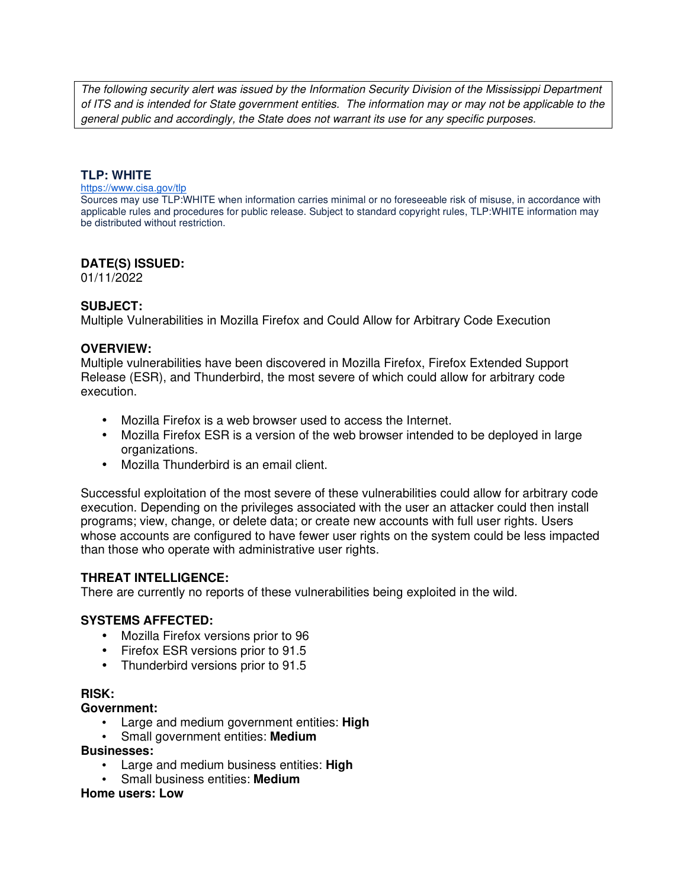The following security alert was issued by the Information Security Division of the Mississippi Department of ITS and is intended for State government entities. The information may or may not be applicable to the general public and accordingly, the State does not warrant its use for any specific purposes.

#### **TLP: WHITE**

#### https://www.cisa.gov/tlp

Sources may use TLP:WHITE when information carries minimal or no foreseeable risk of misuse, in accordance with applicable rules and procedures for public release. Subject to standard copyright rules, TLP:WHITE information may be distributed without restriction.

#### **DATE(S) ISSUED:**

01/11/2022

### **SUBJECT:**

Multiple Vulnerabilities in Mozilla Firefox and Could Allow for Arbitrary Code Execution

### **OVERVIEW:**

Multiple vulnerabilities have been discovered in Mozilla Firefox, Firefox Extended Support Release (ESR), and Thunderbird, the most severe of which could allow for arbitrary code execution.

- Mozilla Firefox is a web browser used to access the Internet.
- Mozilla Firefox ESR is a version of the web browser intended to be deployed in large organizations.
- Mozilla Thunderbird is an email client.

Successful exploitation of the most severe of these vulnerabilities could allow for arbitrary code execution. Depending on the privileges associated with the user an attacker could then install programs; view, change, or delete data; or create new accounts with full user rights. Users whose accounts are configured to have fewer user rights on the system could be less impacted than those who operate with administrative user rights.

#### **THREAT INTELLIGENCE:**

There are currently no reports of these vulnerabilities being exploited in the wild.

#### **SYSTEMS AFFECTED:**

- Mozilla Firefox versions prior to 96
- Firefox ESR versions prior to 91.5
- Thunderbird versions prior to 91.5

#### **RISK:**

#### **Government:**

- Large and medium government entities: **High**
- Small government entities: **Medium**

#### **Businesses:**

- Large and medium business entities: **High**
- Small business entities: **Medium**

#### **Home users: Low**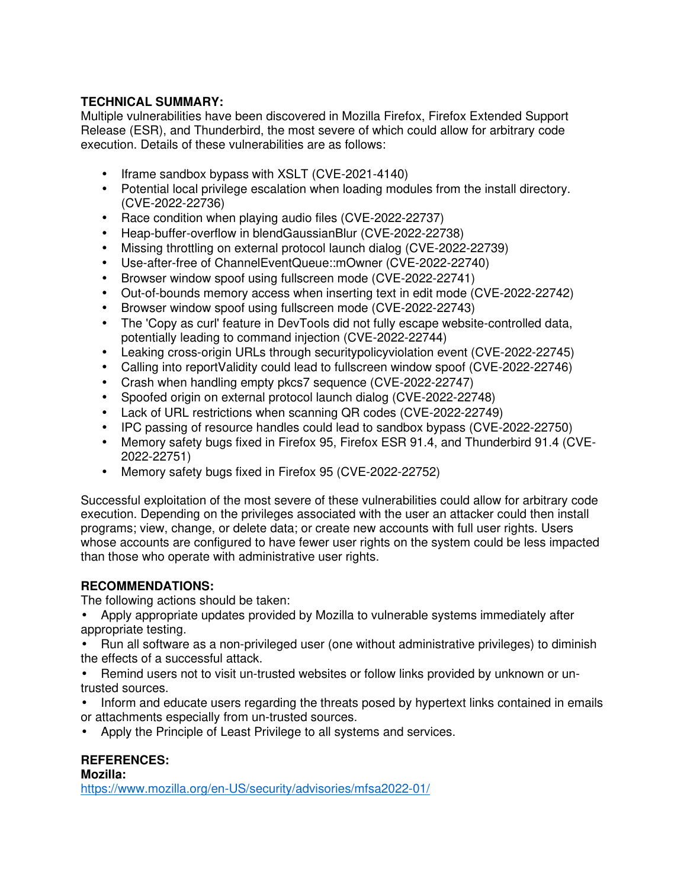## **TECHNICAL SUMMARY:**

Multiple vulnerabilities have been discovered in Mozilla Firefox, Firefox Extended Support Release (ESR), and Thunderbird, the most severe of which could allow for arbitrary code execution. Details of these vulnerabilities are as follows:

- Iframe sandbox bypass with XSLT (CVE-2021-4140)
- Potential local privilege escalation when loading modules from the install directory. (CVE-2022-22736)
- Race condition when playing audio files (CVE-2022-22737)
- Heap-buffer-overflow in blendGaussianBlur (CVE-2022-22738)
- Missing throttling on external protocol launch dialog (CVE-2022-22739)
- Use-after-free of ChannelEventQueue::mOwner (CVE-2022-22740)
- Browser window spoof using fullscreen mode (CVE-2022-22741)
- Out-of-bounds memory access when inserting text in edit mode (CVE-2022-22742)
- Browser window spoof using fullscreen mode (CVE-2022-22743)
- The 'Copy as curl' feature in DevTools did not fully escape website-controlled data, potentially leading to command injection (CVE-2022-22744)
- Leaking cross-origin URLs through securitypolicyviolation event (CVE-2022-22745)
- Calling into reportValidity could lead to fullscreen window spoof (CVE-2022-22746)
- Crash when handling empty pkcs7 sequence (CVE-2022-22747)
- Spoofed origin on external protocol launch dialog (CVE-2022-22748)
- Lack of URL restrictions when scanning QR codes (CVE-2022-22749)
- IPC passing of resource handles could lead to sandbox bypass (CVE-2022-22750)
- Memory safety bugs fixed in Firefox 95, Firefox ESR 91.4, and Thunderbird 91.4 (CVE-2022-22751)
- Memory safety bugs fixed in Firefox 95 (CVE-2022-22752)

Successful exploitation of the most severe of these vulnerabilities could allow for arbitrary code execution. Depending on the privileges associated with the user an attacker could then install programs; view, change, or delete data; or create new accounts with full user rights. Users whose accounts are configured to have fewer user rights on the system could be less impacted than those who operate with administrative user rights.

## **RECOMMENDATIONS:**

The following actions should be taken:

- Apply appropriate updates provided by Mozilla to vulnerable systems immediately after appropriate testing.
- Run all software as a non-privileged user (one without administrative privileges) to diminish the effects of a successful attack.
- Remind users not to visit un-trusted websites or follow links provided by unknown or untrusted sources.
- Inform and educate users regarding the threats posed by hypertext links contained in emails or attachments especially from un-trusted sources.
- Apply the Principle of Least Privilege to all systems and services.

# **REFERENCES:**

**Mozilla:**

https://www.mozilla.org/en-US/security/advisories/mfsa2022-01/